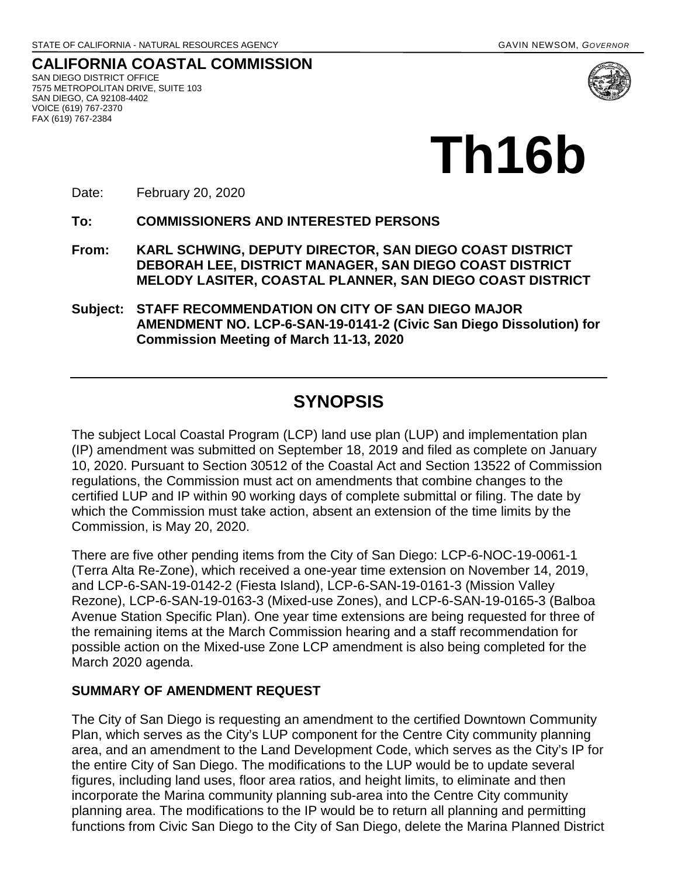**Th16b**

**CALIFORNIA COASTAL COMMISSION** SAN DIEGO DISTRICT OFFICE 7575 METROPOLITAN DRIVE, SUITE 103 SAN DIEGO, CA 92108-4402 VOICE (619) 767-2370 FAX (619) 767-2384



Date: February 20, 2020

**To: COMMISSIONERS AND INTERESTED PERSONS** 

- **From: KARL SCHWING, DEPUTY DIRECTOR, SAN DIEGO COAST DISTRICT DEBORAH LEE, DISTRICT MANAGER, SAN DIEGO COAST DISTRICT MELODY LASITER, COASTAL PLANNER, SAN DIEGO COAST DISTRICT**
- **Subject: STAFF RECOMMENDATION ON CITY OF SAN DIEGO MAJOR AMENDMENT NO. LCP-6-SAN-19-0141-2 (Civic San Diego Dissolution) for Commission Meeting of March 11-13, 2020**

## **SYNOPSIS**

The subject Local Coastal Program (LCP) land use plan (LUP) and implementation plan (IP) amendment was submitted on September 18, 2019 and filed as complete on January 10, 2020. Pursuant to Section 30512 of the Coastal Act and Section 13522 of Commission regulations, the Commission must act on amendments that combine changes to the certified LUP and IP within 90 working days of complete submittal or filing. The date by which the Commission must take action, absent an extension of the time limits by the Commission, is May 20, 2020.

There are five other pending items from the City of San Diego: LCP-6-NOC-19-0061-1 (Terra Alta Re-Zone), which received a one-year time extension on November 14, 2019, and LCP-6-SAN-19-0142-2 (Fiesta Island), LCP-6-SAN-19-0161-3 (Mission Valley Rezone), LCP-6-SAN-19-0163-3 (Mixed-use Zones), and LCP-6-SAN-19-0165-3 (Balboa Avenue Station Specific Plan). One year time extensions are being requested for three of the remaining items at the March Commission hearing and a staff recommendation for possible action on the Mixed-use Zone LCP amendment is also being completed for the March 2020 agenda.

## **SUMMARY OF AMENDMENT REQUEST**

The City of San Diego is requesting an amendment to the certified Downtown Community Plan, which serves as the City's LUP component for the Centre City community planning area, and an amendment to the Land Development Code, which serves as the City's IP for the entire City of San Diego. The modifications to the LUP would be to update several figures, including land uses, floor area ratios, and height limits, to eliminate and then incorporate the Marina community planning sub-area into the Centre City community planning area. The modifications to the IP would be to return all planning and permitting functions from Civic San Diego to the City of San Diego, delete the Marina Planned District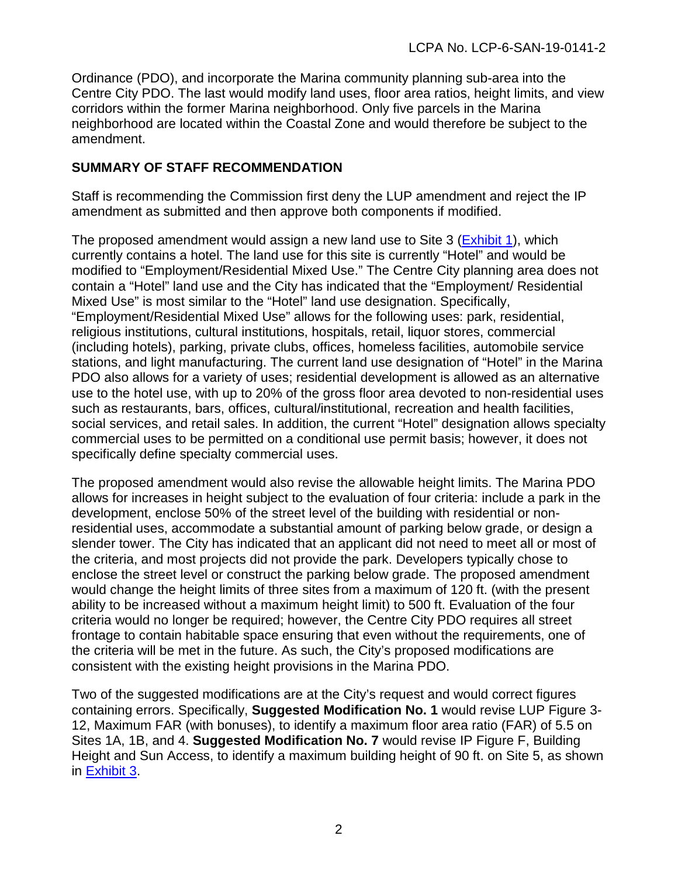Ordinance (PDO), and incorporate the Marina community planning sub-area into the Centre City PDO. The last would modify land uses, floor area ratios, height limits, and view corridors within the former Marina neighborhood. Only five parcels in the Marina neighborhood are located within the Coastal Zone and would therefore be subject to the amendment.

#### **SUMMARY OF STAFF RECOMMENDATION**

Staff is recommending the Commission first deny the LUP amendment and reject the IP amendment as submitted and then approve both components if modified.

The proposed amendment would assign a new land use to Site 3 [\(Exhibit 1\)](https://documents.coastal.ca.gov/reports/2020/3/Th16b/Th16b-3-2020-exhibits.pdf), which currently contains a hotel. The land use for this site is currently "Hotel" and would be modified to "Employment/Residential Mixed Use." The Centre City planning area does not contain a "Hotel" land use and the City has indicated that the "Employment/ Residential Mixed Use" is most similar to the "Hotel" land use designation. Specifically, "Employment/Residential Mixed Use" allows for the following uses: park, residential, religious institutions, cultural institutions, hospitals, retail, liquor stores, commercial (including hotels), parking, private clubs, offices, homeless facilities, automobile service stations, and light manufacturing. The current land use designation of "Hotel" in the Marina PDO also allows for a variety of uses; residential development is allowed as an alternative use to the hotel use, with up to 20% of the gross floor area devoted to non-residential uses such as restaurants, bars, offices, cultural/institutional, recreation and health facilities, social services, and retail sales. In addition, the current "Hotel" designation allows specialty commercial uses to be permitted on a conditional use permit basis; however, it does not specifically define specialty commercial uses.

The proposed amendment would also revise the allowable height limits. The Marina PDO allows for increases in height subject to the evaluation of four criteria: include a park in the development, enclose 50% of the street level of the building with residential or nonresidential uses, accommodate a substantial amount of parking below grade, or design a slender tower. The City has indicated that an applicant did not need to meet all or most of the criteria, and most projects did not provide the park. Developers typically chose to enclose the street level or construct the parking below grade. The proposed amendment would change the height limits of three sites from a maximum of 120 ft. (with the present ability to be increased without a maximum height limit) to 500 ft. Evaluation of the four criteria would no longer be required; however, the Centre City PDO requires all street frontage to contain habitable space ensuring that even without the requirements, one of the criteria will be met in the future. As such, the City's proposed modifications are consistent with the existing height provisions in the Marina PDO.

Two of the suggested modifications are at the City's request and would correct figures containing errors. Specifically, **Suggested Modification No. 1** would revise LUP Figure 3- 12, Maximum FAR (with bonuses), to identify a maximum floor area ratio (FAR) of 5.5 on Sites 1A, 1B, and 4. **Suggested Modification No. 7** would revise IP Figure F, Building Height and Sun Access, to identify a maximum building height of 90 ft. on Site 5, as shown in [Exhibit 3.](https://documents.coastal.ca.gov/reports/2020/3/Th16b/Th16b-3-2020-exhibits.pdf)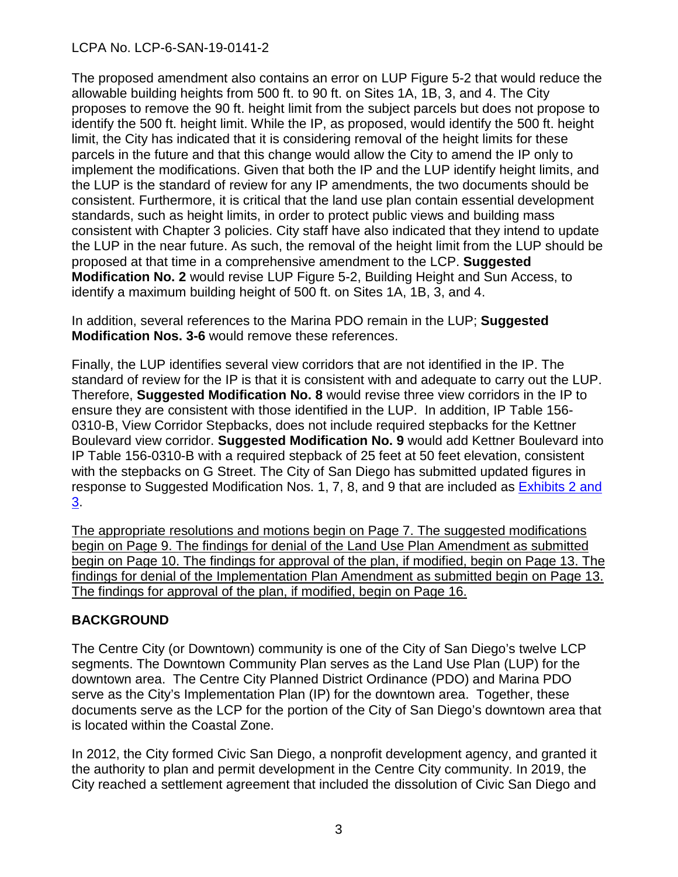The proposed amendment also contains an error on LUP Figure 5-2 that would reduce the allowable building heights from 500 ft. to 90 ft. on Sites 1A, 1B, 3, and 4. The City proposes to remove the 90 ft. height limit from the subject parcels but does not propose to identify the 500 ft. height limit. While the IP, as proposed, would identify the 500 ft. height limit, the City has indicated that it is considering removal of the height limits for these parcels in the future and that this change would allow the City to amend the IP only to implement the modifications. Given that both the IP and the LUP identify height limits, and the LUP is the standard of review for any IP amendments, the two documents should be consistent. Furthermore, it is critical that the land use plan contain essential development standards, such as height limits, in order to protect public views and building mass consistent with Chapter 3 policies. City staff have also indicated that they intend to update the LUP in the near future. As such, the removal of the height limit from the LUP should be proposed at that time in a comprehensive amendment to the LCP. **Suggested Modification No. 2** would revise LUP Figure 5-2, Building Height and Sun Access, to identify a maximum building height of 500 ft. on Sites 1A, 1B, 3, and 4.

In addition, several references to the Marina PDO remain in the LUP; **Suggested Modification Nos. 3-6** would remove these references.

Finally, the LUP identifies several view corridors that are not identified in the IP. The standard of review for the IP is that it is consistent with and adequate to carry out the LUP. Therefore, **Suggested Modification No. 8** would revise three view corridors in the IP to ensure they are consistent with those identified in the LUP. In addition, IP Table 156- 0310-B, View Corridor Stepbacks, does not include required stepbacks for the Kettner Boulevard view corridor. **Suggested Modification No. 9** would add Kettner Boulevard into IP Table 156-0310-B with a required stepback of 25 feet at 50 feet elevation, consistent with the stepbacks on G Street. The City of San Diego has submitted updated figures in response to Suggested Modification Nos. 1, 7, 8, and 9 that are included as Exhibits 2 and [3.](https://documents.coastal.ca.gov/reports/2020/3/Th16b/Th16b-3-2020-exhibits.pdf)

The appropriate resolutions and motions begin on Page 7. The suggested modifications begin on Page 9. The findings for denial of the Land Use Plan Amendment as submitted begin on Page 10. The findings for approval of the plan, if modified, begin on Page 13. The findings for denial of the Implementation Plan Amendment as submitted begin on Page 13. The findings for approval of the plan, if modified, begin on Page 16.

## **BACKGROUND**

The Centre City (or Downtown) community is one of the City of San Diego's twelve LCP segments. The Downtown Community Plan serves as the Land Use Plan (LUP) for the downtown area. The Centre City Planned District Ordinance (PDO) and Marina PDO serve as the City's Implementation Plan (IP) for the downtown area. Together, these documents serve as the LCP for the portion of the City of San Diego's downtown area that is located within the Coastal Zone.

In 2012, the City formed Civic San Diego, a nonprofit development agency, and granted it the authority to plan and permit development in the Centre City community. In 2019, the City reached a settlement agreement that included the dissolution of Civic San Diego and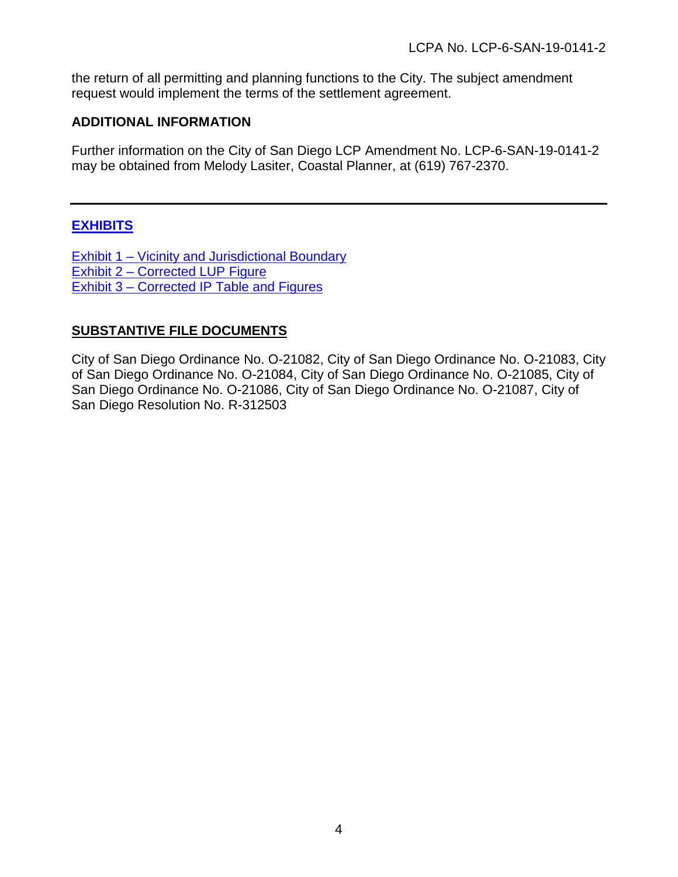the return of all permitting and planning functions to the City. The subject amendment request would implement the terms of the settlement agreement.

#### **ADDITIONAL INFORMATION**

Further information on the City of San Diego LCP Amendment No. LCP-6-SAN-19-0141-2 may be obtained from Melody Lasiter, Coastal Planner, at (619) 767-2370.

## **[EXHIBITS](https://documents.coastal.ca.gov/reports/2020/3/Th16b/Th16b-3-2020-exhibits.pdf)**

[Exhibit 1 – Vicinity and Jurisdictional Boundary](https://documents.coastal.ca.gov/reports/2020/3/Th16b/Th16b-3-2020-exhibits.pdf) [Exhibit 2 – Corrected LUP Figure](https://documents.coastal.ca.gov/reports/2020/3/Th16b/Th16b-3-2020-exhibits.pdf) [Exhibit 3 – Corrected IP Table and Figures](https://documents.coastal.ca.gov/reports/2020/3/Th16b/Th16b-3-2020-exhibits.pdf)

## **SUBSTANTIVE FILE DOCUMENTS**

City of San Diego Ordinance No. O-21082, City of San Diego Ordinance No. O-21083, City of San Diego Ordinance No. O-21084, City of San Diego Ordinance No. O-21085, City of San Diego Ordinance No. O-21086, City of San Diego Ordinance No. O-21087, City of San Diego Resolution No. R-312503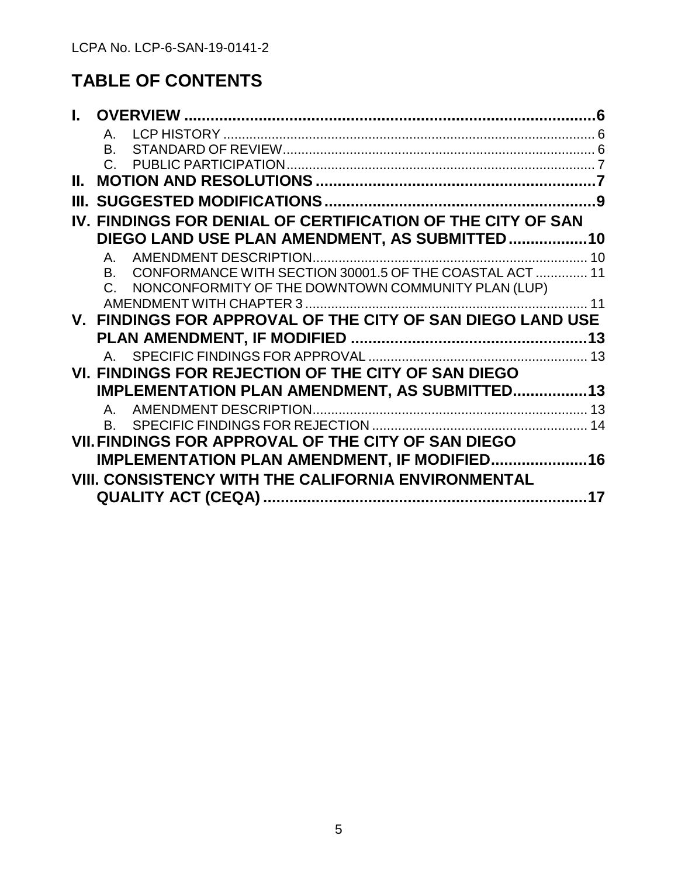# **TABLE OF CONTENTS**

|                  | $\mathsf{A}_{-}$                                                  |    |
|------------------|-------------------------------------------------------------------|----|
|                  | B.                                                                |    |
|                  | $C_{\cdot}$                                                       |    |
| Н.               |                                                                   |    |
| Ш                |                                                                   |    |
|                  | IV. FINDINGS FOR DENIAL OF CERTIFICATION OF THE CITY OF SAN       |    |
|                  | DIEGO LAND USE PLAN AMENDMENT, AS SUBMITTED10                     |    |
|                  | $\mathsf{A}_{-}$                                                  | 10 |
|                  | CONFORMANCE WITH SECTION 30001.5 OF THE COASTAL ACT  11<br>B.     |    |
|                  | NONCONFORMITY OF THE DOWNTOWN COMMUNITY PLAN (LUP)<br>$C_{\cdot}$ |    |
|                  |                                                                   |    |
| $\mathbf{V}_{-}$ | FINDINGS FOR APPROVAL OF THE CITY OF SAN DIEGO LAND USE           |    |
|                  |                                                                   |    |
|                  |                                                                   |    |
|                  |                                                                   |    |
|                  | VI. FINDINGS FOR REJECTION OF THE CITY OF SAN DIEGO               |    |
|                  | IMPLEMENTATION PLAN AMENDMENT, AS SUBMITTED13                     |    |
|                  | $\mathsf{A}_{-}$                                                  |    |
|                  | B.                                                                |    |
|                  | VII. FINDINGS FOR APPROVAL OF THE CITY OF SAN DIEGO               |    |
|                  | <b>IMPLEMENTATION PLAN AMENDMENT, IF MODIFIED16</b>               |    |
|                  |                                                                   |    |
|                  | <b>VIII. CONSISTENCY WITH THE CALIFORNIA ENVIRONMENTAL</b>        | 17 |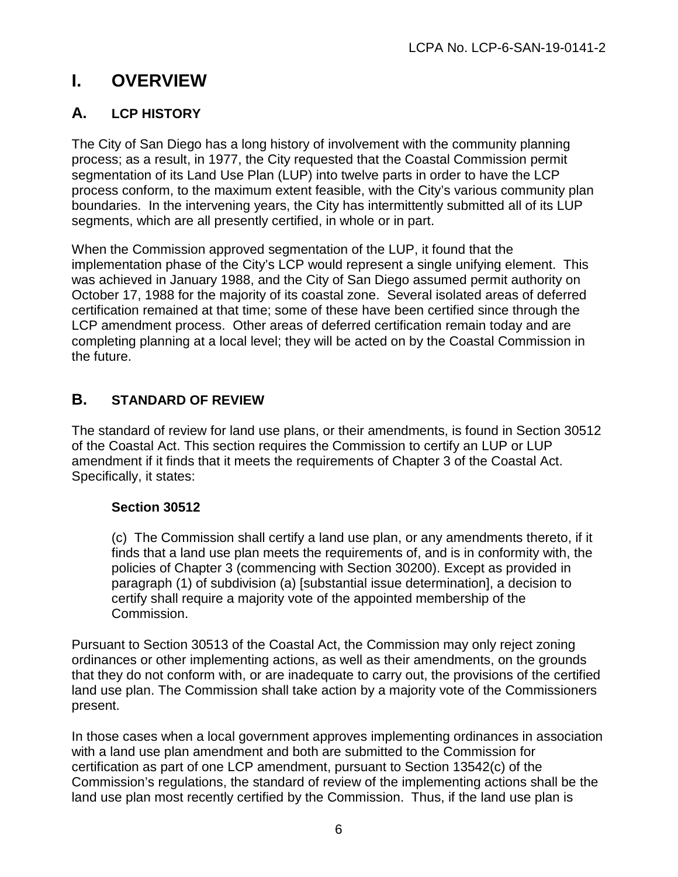# <span id="page-5-0"></span>**I. OVERVIEW**

## <span id="page-5-1"></span>**A. LCP HISTORY**

The City of San Diego has a long history of involvement with the community planning process; as a result, in 1977, the City requested that the Coastal Commission permit segmentation of its Land Use Plan (LUP) into twelve parts in order to have the LCP process conform, to the maximum extent feasible, with the City's various community plan boundaries. In the intervening years, the City has intermittently submitted all of its LUP segments, which are all presently certified, in whole or in part.

When the Commission approved segmentation of the LUP, it found that the implementation phase of the City's LCP would represent a single unifying element. This was achieved in January 1988, and the City of San Diego assumed permit authority on October 17, 1988 for the majority of its coastal zone. Several isolated areas of deferred certification remained at that time; some of these have been certified since through the LCP amendment process. Other areas of deferred certification remain today and are completing planning at a local level; they will be acted on by the Coastal Commission in the future.

## <span id="page-5-2"></span>**B. STANDARD OF REVIEW**

The standard of review for land use plans, or their amendments, is found in Section 30512 of the Coastal Act. This section requires the Commission to certify an LUP or LUP amendment if it finds that it meets the requirements of Chapter 3 of the Coastal Act. Specifically, it states:

## **Section 30512**

(c) The Commission shall certify a land use plan, or any amendments thereto, if it finds that a land use plan meets the requirements of, and is in conformity with, the policies of Chapter 3 (commencing with Section 30200). Except as provided in paragraph (1) of subdivision (a) [substantial issue determination], a decision to certify shall require a majority vote of the appointed membership of the Commission.

Pursuant to Section 30513 of the Coastal Act, the Commission may only reject zoning ordinances or other implementing actions, as well as their amendments, on the grounds that they do not conform with, or are inadequate to carry out, the provisions of the certified land use plan. The Commission shall take action by a majority vote of the Commissioners present.

In those cases when a local government approves implementing ordinances in association with a land use plan amendment and both are submitted to the Commission for certification as part of one LCP amendment, pursuant to Section 13542(c) of the Commission's regulations, the standard of review of the implementing actions shall be the land use plan most recently certified by the Commission. Thus, if the land use plan is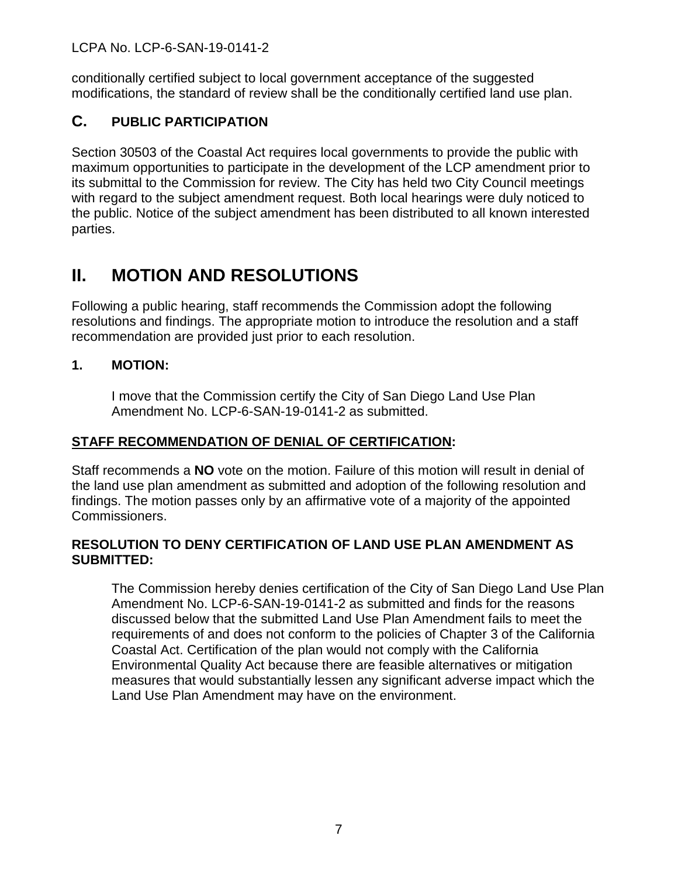conditionally certified subject to local government acceptance of the suggested modifications, the standard of review shall be the conditionally certified land use plan.

## <span id="page-6-0"></span>**C. PUBLIC PARTICIPATION**

Section 30503 of the Coastal Act requires local governments to provide the public with maximum opportunities to participate in the development of the LCP amendment prior to its submittal to the Commission for review. The City has held two City Council meetings with regard to the subject amendment request. Both local hearings were duly noticed to the public. Notice of the subject amendment has been distributed to all known interested parties.

# <span id="page-6-1"></span>**II. MOTION AND RESOLUTIONS**

Following a public hearing, staff recommends the Commission adopt the following resolutions and findings. The appropriate motion to introduce the resolution and a staff recommendation are provided just prior to each resolution.

## **1. MOTION:**

I move that the Commission certify the City of San Diego Land Use Plan Amendment No. LCP-6-SAN-19-0141-2 as submitted.

## **STAFF RECOMMENDATION OF DENIAL OF CERTIFICATION:**

Staff recommends a **NO** vote on the motion. Failure of this motion will result in denial of the land use plan amendment as submitted and adoption of the following resolution and findings. The motion passes only by an affirmative vote of a majority of the appointed Commissioners.

## **RESOLUTION TO DENY CERTIFICATION OF LAND USE PLAN AMENDMENT AS SUBMITTED:**

The Commission hereby denies certification of the City of San Diego Land Use Plan Amendment No. LCP-6-SAN-19-0141-2 as submitted and finds for the reasons discussed below that the submitted Land Use Plan Amendment fails to meet the requirements of and does not conform to the policies of Chapter 3 of the California Coastal Act. Certification of the plan would not comply with the California Environmental Quality Act because there are feasible alternatives or mitigation measures that would substantially lessen any significant adverse impact which the Land Use Plan Amendment may have on the environment.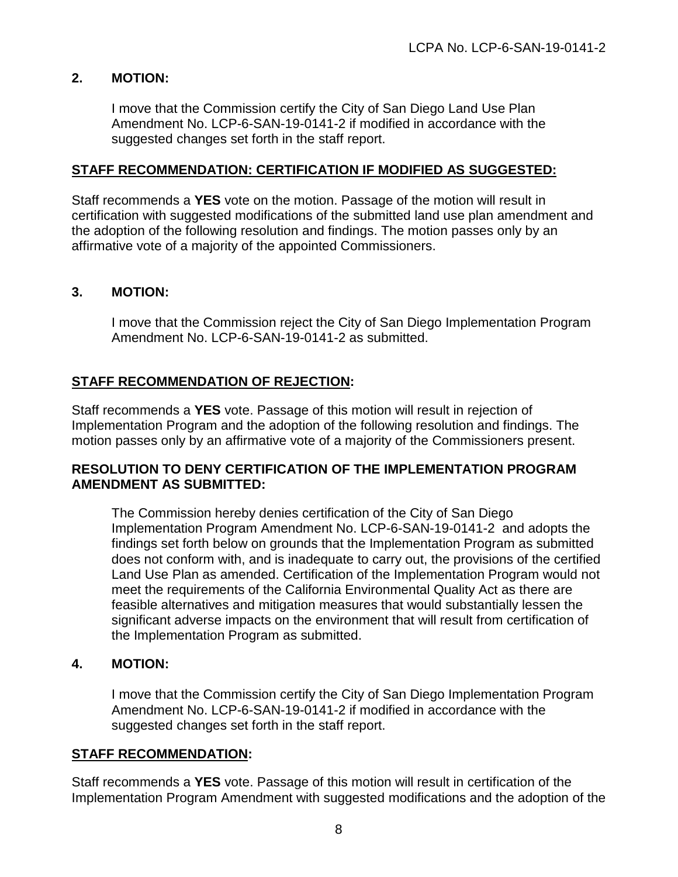## **2. MOTION:**

I move that the Commission certify the City of San Diego Land Use Plan Amendment No. LCP-6-SAN-19-0141-2 if modified in accordance with the suggested changes set forth in the staff report.

#### **STAFF RECOMMENDATION: CERTIFICATION IF MODIFIED AS SUGGESTED:**

Staff recommends a **YES** vote on the motion. Passage of the motion will result in certification with suggested modifications of the submitted land use plan amendment and the adoption of the following resolution and findings. The motion passes only by an affirmative vote of a majority of the appointed Commissioners.

#### **3. MOTION:**

I move that the Commission reject the City of San Diego Implementation Program Amendment No. LCP-6-SAN-19-0141-2 as submitted.

## **STAFF RECOMMENDATION OF REJECTION:**

Staff recommends a **YES** vote. Passage of this motion will result in rejection of Implementation Program and the adoption of the following resolution and findings. The motion passes only by an affirmative vote of a majority of the Commissioners present.

#### **RESOLUTION TO DENY CERTIFICATION OF THE IMPLEMENTATION PROGRAM AMENDMENT AS SUBMITTED:**

The Commission hereby denies certification of the City of San Diego Implementation Program Amendment No. LCP-6-SAN-19-0141-2 and adopts the findings set forth below on grounds that the Implementation Program as submitted does not conform with, and is inadequate to carry out, the provisions of the certified Land Use Plan as amended. Certification of the Implementation Program would not meet the requirements of the California Environmental Quality Act as there are feasible alternatives and mitigation measures that would substantially lessen the significant adverse impacts on the environment that will result from certification of the Implementation Program as submitted.

#### **4. MOTION:**

I move that the Commission certify the City of San Diego Implementation Program Amendment No. LCP-6-SAN-19-0141-2 if modified in accordance with the suggested changes set forth in the staff report.

#### **STAFF RECOMMENDATION:**

Staff recommends a **YES** vote. Passage of this motion will result in certification of the Implementation Program Amendment with suggested modifications and the adoption of the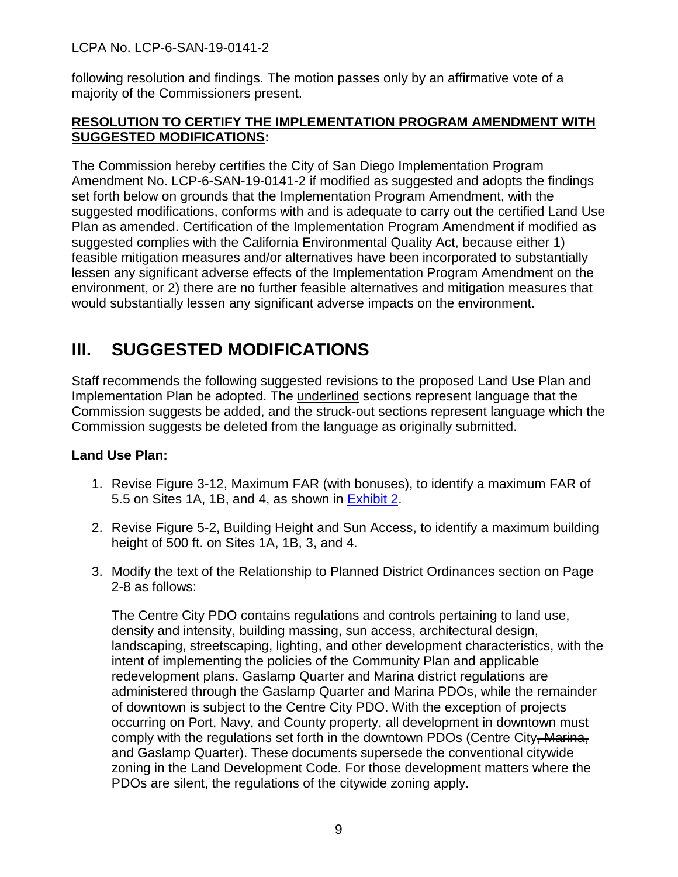following resolution and findings. The motion passes only by an affirmative vote of a majority of the Commissioners present.

## **RESOLUTION TO CERTIFY THE IMPLEMENTATION PROGRAM AMENDMENT WITH SUGGESTED MODIFICATIONS:**

The Commission hereby certifies the City of San Diego Implementation Program Amendment No. LCP-6-SAN-19-0141-2 if modified as suggested and adopts the findings set forth below on grounds that the Implementation Program Amendment, with the suggested modifications, conforms with and is adequate to carry out the certified Land Use Plan as amended. Certification of the Implementation Program Amendment if modified as suggested complies with the California Environmental Quality Act, because either 1) feasible mitigation measures and/or alternatives have been incorporated to substantially lessen any significant adverse effects of the Implementation Program Amendment on the environment, or 2) there are no further feasible alternatives and mitigation measures that would substantially lessen any significant adverse impacts on the environment.

# <span id="page-8-0"></span>**III. SUGGESTED MODIFICATIONS**

Staff recommends the following suggested revisions to the proposed Land Use Plan and Implementation Plan be adopted. The underlined sections represent language that the Commission suggests be added, and the struck-out sections represent language which the Commission suggests be deleted from the language as originally submitted.

## **Land Use Plan:**

- 1. Revise Figure 3-12, Maximum FAR (with bonuses), to identify a maximum FAR of 5.5 on Sites 1A, 1B, and 4, as shown in [Exhibit 2.](https://documents.coastal.ca.gov/reports/2020/3/Th16b/Th16b-3-2020-exhibits.pdf)
- 2. Revise Figure 5-2, Building Height and Sun Access, to identify a maximum building height of 500 ft. on Sites 1A, 1B, 3, and 4.
- 3. Modify the text of the Relationship to Planned District Ordinances section on Page 2-8 as follows:

The Centre City PDO contains regulations and controls pertaining to land use, density and intensity, building massing, sun access, architectural design, landscaping, streetscaping, lighting, and other development characteristics, with the intent of implementing the policies of the Community Plan and applicable redevelopment plans. Gaslamp Quarter and Marina district regulations are administered through the Gaslamp Quarter and Marina PDOs, while the remainder of downtown is subject to the Centre City PDO. With the exception of projects occurring on Port, Navy, and County property, all development in downtown must comply with the regulations set forth in the downtown PDOs (Centre City, Marina, and Gaslamp Quarter). These documents supersede the conventional citywide zoning in the Land Development Code. For those development matters where the PDOs are silent, the regulations of the citywide zoning apply.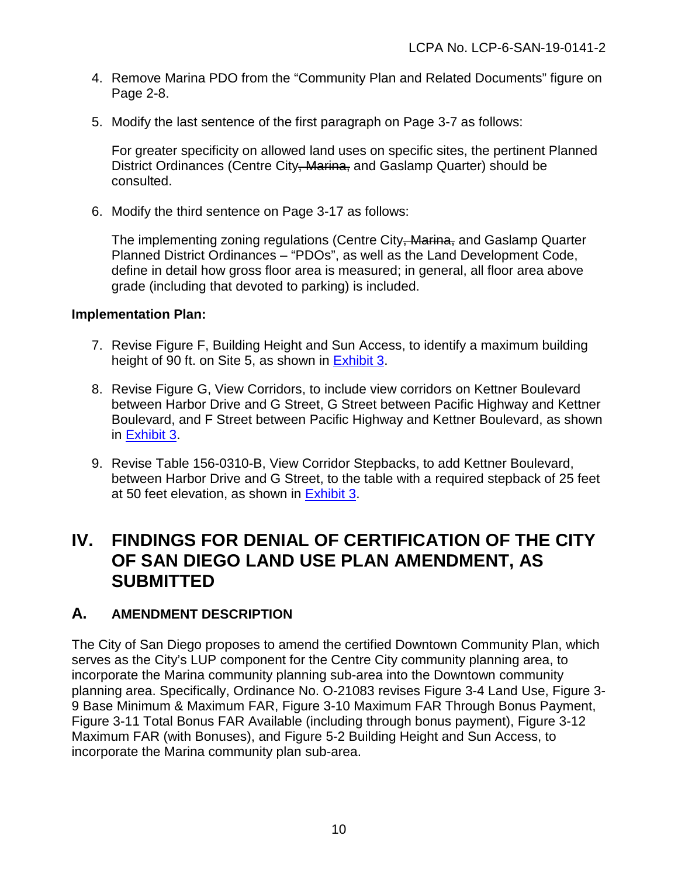- 4. Remove Marina PDO from the "Community Plan and Related Documents" figure on Page 2-8.
- 5. Modify the last sentence of the first paragraph on Page 3-7 as follows:

For greater specificity on allowed land uses on specific sites, the pertinent Planned District Ordinances (Centre City, Marina, and Gaslamp Quarter) should be consulted.

6. Modify the third sentence on Page 3-17 as follows:

The implementing zoning regulations (Centre City, Marina, and Gaslamp Quarter Planned District Ordinances – "PDOs", as well as the Land Development Code, define in detail how gross floor area is measured; in general, all floor area above grade (including that devoted to parking) is included.

#### **Implementation Plan:**

- 7. Revise Figure F, Building Height and Sun Access, to identify a maximum building height of 90 ft. on Site 5, as shown in [Exhibit 3.](https://documents.coastal.ca.gov/reports/2020/3/Th16b/Th16b-3-2020-exhibits.pdf)
- 8. Revise Figure G, View Corridors, to include view corridors on Kettner Boulevard between Harbor Drive and G Street, G Street between Pacific Highway and Kettner Boulevard, and F Street between Pacific Highway and Kettner Boulevard, as shown in [Exhibit 3.](https://documents.coastal.ca.gov/reports/2020/3/Th16b/Th16b-3-2020-exhibits.pdf)
- 9. Revise Table 156-0310-B, View Corridor Stepbacks, to add Kettner Boulevard, between Harbor Drive and G Street, to the table with a required stepback of 25 feet at 50 feet elevation, as shown in [Exhibit 3.](https://documents.coastal.ca.gov/reports/2020/3/Th16b/Th16b-3-2020-exhibits.pdf)

## <span id="page-9-0"></span>**IV. FINDINGS FOR DENIAL OF CERTIFICATION OF THE CITY OF SAN DIEGO LAND USE PLAN AMENDMENT, AS SUBMITTED**

## <span id="page-9-1"></span>**A. AMENDMENT DESCRIPTION**

The City of San Diego proposes to amend the certified Downtown Community Plan, which serves as the City's LUP component for the Centre City community planning area, to incorporate the Marina community planning sub-area into the Downtown community planning area. Specifically, Ordinance No. O-21083 revises Figure 3-4 Land Use, Figure 3- 9 Base Minimum & Maximum FAR, Figure 3-10 Maximum FAR Through Bonus Payment, Figure 3-11 Total Bonus FAR Available (including through bonus payment), Figure 3-12 Maximum FAR (with Bonuses), and Figure 5-2 Building Height and Sun Access, to incorporate the Marina community plan sub-area.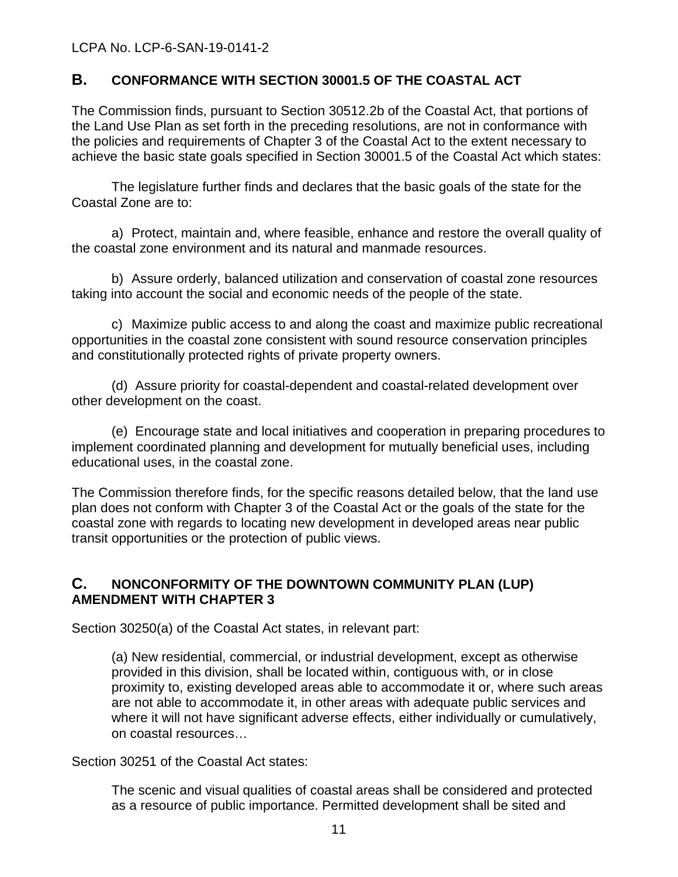## <span id="page-10-0"></span>**B. CONFORMANCE WITH SECTION 30001.5 OF THE COASTAL ACT**

The Commission finds, pursuant to Section 30512.2b of the Coastal Act, that portions of the Land Use Plan as set forth in the preceding resolutions, are not in conformance with the policies and requirements of Chapter 3 of the Coastal Act to the extent necessary to achieve the basic state goals specified in Section 30001.5 of the Coastal Act which states:

The legislature further finds and declares that the basic goals of the state for the Coastal Zone are to:

a) Protect, maintain and, where feasible, enhance and restore the overall quality of the coastal zone environment and its natural and manmade resources.

b) Assure orderly, balanced utilization and conservation of coastal zone resources taking into account the social and economic needs of the people of the state.

 c) Maximize public access to and along the coast and maximize public recreational opportunities in the coastal zone consistent with sound resource conservation principles and constitutionally protected rights of private property owners.

(d) Assure priority for coastal-dependent and coastal-related development over other development on the coast.

(e) Encourage state and local initiatives and cooperation in preparing procedures to implement coordinated planning and development for mutually beneficial uses, including educational uses, in the coastal zone.

The Commission therefore finds, for the specific reasons detailed below, that the land use plan does not conform with Chapter 3 of the Coastal Act or the goals of the state for the coastal zone with regards to locating new development in developed areas near public transit opportunities or the protection of public views.

## <span id="page-10-1"></span>**C. NONCONFORMITY OF THE DOWNTOWN COMMUNITY PLAN (LUP) AMENDMENT WITH CHAPTER 3**

Section 30250(a) of the Coastal Act states, in relevant part:

(a) New residential, commercial, or industrial development, except as otherwise provided in this division, shall be located within, contiguous with, or in close proximity to, existing developed areas able to accommodate it or, where such areas are not able to accommodate it, in other areas with adequate public services and where it will not have significant adverse effects, either individually or cumulatively, on coastal resources…

Section 30251 of the Coastal Act states:

The scenic and visual qualities of coastal areas shall be considered and protected as a resource of public importance. Permitted development shall be sited and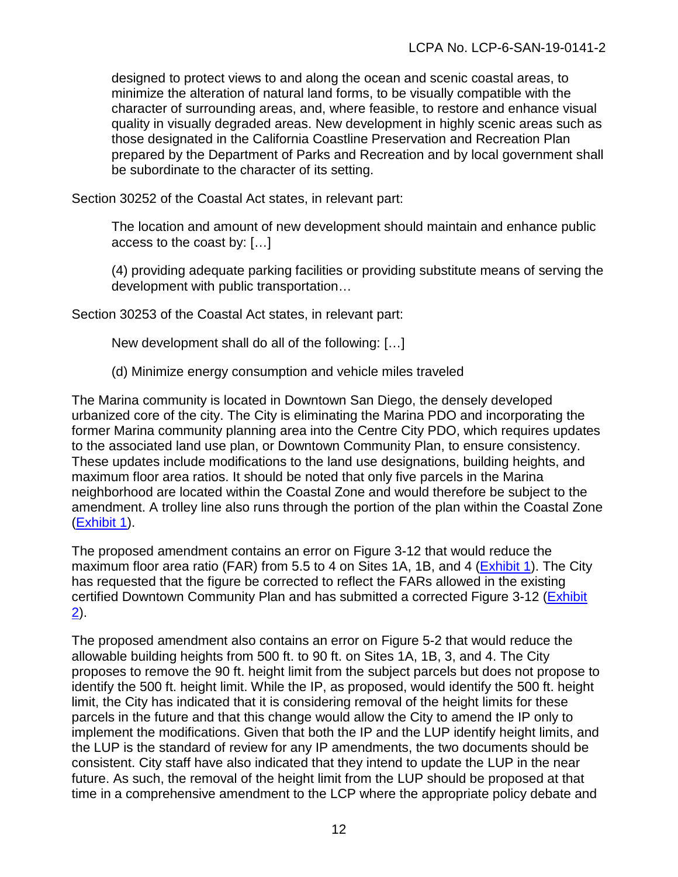designed to protect views to and along the ocean and scenic coastal areas, to minimize the alteration of natural land forms, to be visually compatible with the character of surrounding areas, and, where feasible, to restore and enhance visual quality in visually degraded areas. New development in highly scenic areas such as those designated in the California Coastline Preservation and Recreation Plan prepared by the Department of Parks and Recreation and by local government shall be subordinate to the character of its setting.

Section 30252 of the Coastal Act states, in relevant part:

The location and amount of new development should maintain and enhance public access to the coast by: […]

(4) providing adequate parking facilities or providing substitute means of serving the development with public transportation…

Section 30253 of the Coastal Act states, in relevant part:

New development shall do all of the following: […]

(d) Minimize energy consumption and vehicle miles traveled

The Marina community is located in Downtown San Diego, the densely developed urbanized core of the city. The City is eliminating the Marina PDO and incorporating the former Marina community planning area into the Centre City PDO, which requires updates to the associated land use plan, or Downtown Community Plan, to ensure consistency. These updates include modifications to the land use designations, building heights, and maximum floor area ratios. It should be noted that only five parcels in the Marina neighborhood are located within the Coastal Zone and would therefore be subject to the amendment. A trolley line also runs through the portion of the plan within the Coastal Zone [\(Exhibit 1\)](https://documents.coastal.ca.gov/reports/2020/3/Th16b/Th16b-3-2020-exhibits.pdf).

The proposed amendment contains an error on Figure 3-12 that would reduce the maximum floor area ratio (FAR) from 5.5 to 4 on Sites 1A, 1B, and 4 [\(Exhibit 1\)](https://documents.coastal.ca.gov/reports/2020/3/Th16b/Th16b-3-2020-exhibits.pdf). The City has requested that the figure be corrected to reflect the FARs allowed in the existing certified Downtown Community Plan and has submitted a corrected Figure 3-12 [\(Exhibit](https://documents.coastal.ca.gov/reports/2020/3/Th16b/Th16b-3-2020-exhibits.pdf)   $(2)$  $(2)$ .

The proposed amendment also contains an error on Figure 5-2 that would reduce the allowable building heights from 500 ft. to 90 ft. on Sites 1A, 1B, 3, and 4. The City proposes to remove the 90 ft. height limit from the subject parcels but does not propose to identify the 500 ft. height limit. While the IP, as proposed, would identify the 500 ft. height limit, the City has indicated that it is considering removal of the height limits for these parcels in the future and that this change would allow the City to amend the IP only to implement the modifications. Given that both the IP and the LUP identify height limits, and the LUP is the standard of review for any IP amendments, the two documents should be consistent. City staff have also indicated that they intend to update the LUP in the near future. As such, the removal of the height limit from the LUP should be proposed at that time in a comprehensive amendment to the LCP where the appropriate policy debate and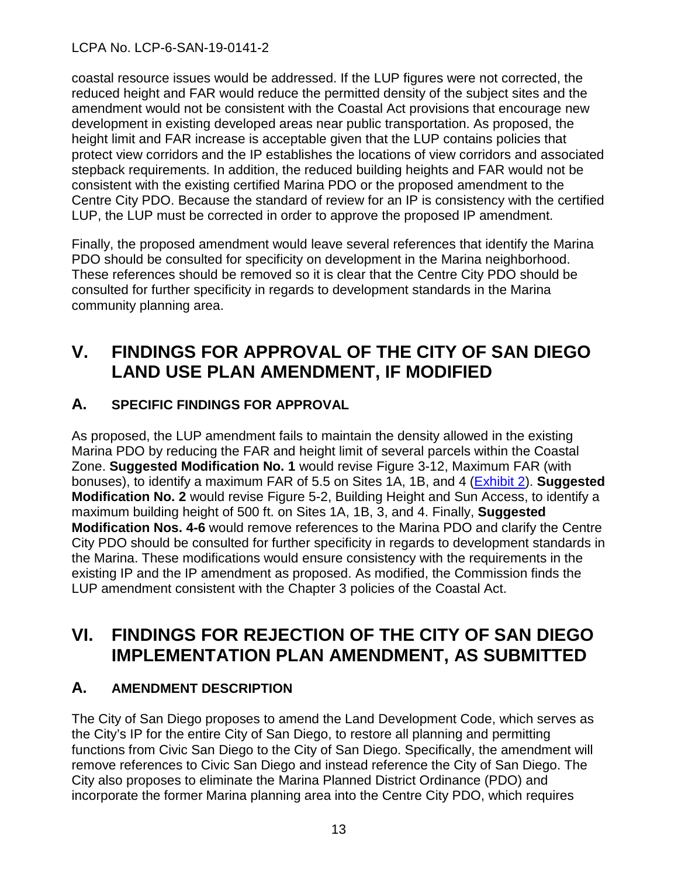coastal resource issues would be addressed. If the LUP figures were not corrected, the reduced height and FAR would reduce the permitted density of the subject sites and the amendment would not be consistent with the Coastal Act provisions that encourage new development in existing developed areas near public transportation. As proposed, the height limit and FAR increase is acceptable given that the LUP contains policies that protect view corridors and the IP establishes the locations of view corridors and associated stepback requirements. In addition, the reduced building heights and FAR would not be consistent with the existing certified Marina PDO or the proposed amendment to the Centre City PDO. Because the standard of review for an IP is consistency with the certified LUP, the LUP must be corrected in order to approve the proposed IP amendment.

Finally, the proposed amendment would leave several references that identify the Marina PDO should be consulted for specificity on development in the Marina neighborhood. These references should be removed so it is clear that the Centre City PDO should be consulted for further specificity in regards to development standards in the Marina community planning area.

## <span id="page-12-0"></span>**V. FINDINGS FOR APPROVAL OF THE CITY OF SAN DIEGO LAND USE PLAN AMENDMENT, IF MODIFIED**

## <span id="page-12-1"></span>**A. SPECIFIC FINDINGS FOR APPROVAL**

As proposed, the LUP amendment fails to maintain the density allowed in the existing Marina PDO by reducing the FAR and height limit of several parcels within the Coastal Zone. **Suggested Modification No. 1** would revise Figure 3-12, Maximum FAR (with bonuses), to identify a maximum FAR of 5.5 on Sites 1A, 1B, and 4 [\(Exhibit 2\)](https://documents.coastal.ca.gov/reports/2020/3/Th16b/Th16b-3-2020-exhibits.pdf). **Suggested Modification No. 2** would revise Figure 5-2, Building Height and Sun Access, to identify a maximum building height of 500 ft. on Sites 1A, 1B, 3, and 4. Finally, **Suggested Modification Nos. 4-6** would remove references to the Marina PDO and clarify the Centre City PDO should be consulted for further specificity in regards to development standards in the Marina. These modifications would ensure consistency with the requirements in the existing IP and the IP amendment as proposed. As modified, the Commission finds the LUP amendment consistent with the Chapter 3 policies of the Coastal Act.

## <span id="page-12-2"></span>**VI. FINDINGS FOR REJECTION OF THE CITY OF SAN DIEGO IMPLEMENTATION PLAN AMENDMENT, AS SUBMITTED**

## <span id="page-12-3"></span>**A. AMENDMENT DESCRIPTION**

The City of San Diego proposes to amend the Land Development Code, which serves as the City's IP for the entire City of San Diego, to restore all planning and permitting functions from Civic San Diego to the City of San Diego. Specifically, the amendment will remove references to Civic San Diego and instead reference the City of San Diego. The City also proposes to eliminate the Marina Planned District Ordinance (PDO) and incorporate the former Marina planning area into the Centre City PDO, which requires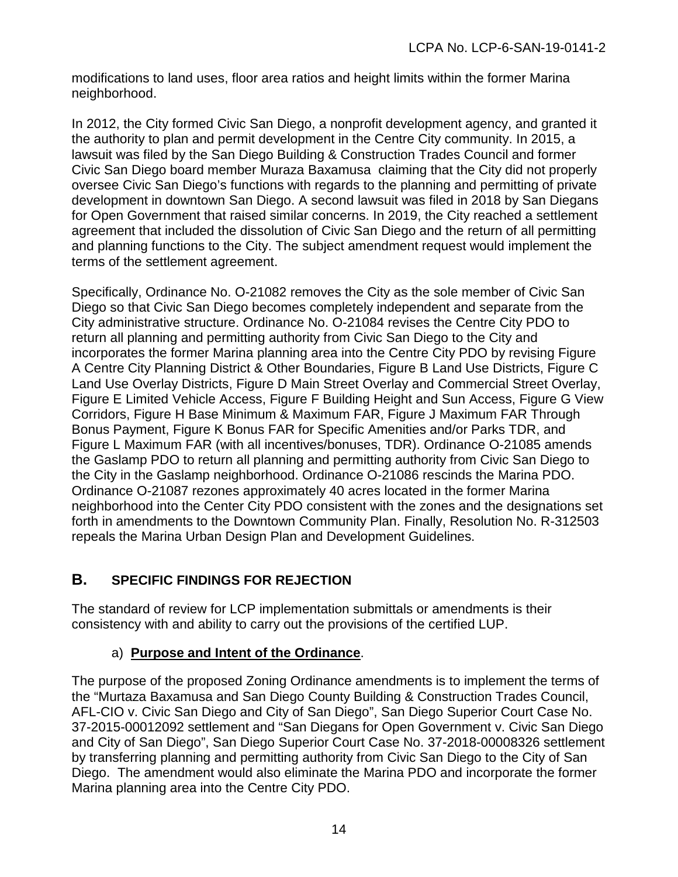modifications to land uses, floor area ratios and height limits within the former Marina neighborhood.

In 2012, the City formed Civic San Diego, a nonprofit development agency, and granted it the authority to plan and permit development in the Centre City community. In 2015, a lawsuit was filed by the San Diego Building & Construction Trades Council and former Civic San Diego board member Muraza Baxamusa claiming that the City did not properly oversee Civic San Diego's functions with regards to the planning and permitting of private development in downtown San Diego. A second lawsuit was filed in 2018 by San Diegans for Open Government that raised similar concerns. In 2019, the City reached a settlement agreement that included the dissolution of Civic San Diego and the return of all permitting and planning functions to the City. The subject amendment request would implement the terms of the settlement agreement.

Specifically, Ordinance No. O-21082 removes the City as the sole member of Civic San Diego so that Civic San Diego becomes completely independent and separate from the City administrative structure. Ordinance No. O-21084 revises the Centre City PDO to return all planning and permitting authority from Civic San Diego to the City and incorporates the former Marina planning area into the Centre City PDO by revising Figure A Centre City Planning District & Other Boundaries, Figure B Land Use Districts, Figure C Land Use Overlay Districts, Figure D Main Street Overlay and Commercial Street Overlay, Figure E Limited Vehicle Access, Figure F Building Height and Sun Access, Figure G View Corridors, Figure H Base Minimum & Maximum FAR, Figure J Maximum FAR Through Bonus Payment, Figure K Bonus FAR for Specific Amenities and/or Parks TDR, and Figure L Maximum FAR (with all incentives/bonuses, TDR). Ordinance O-21085 amends the Gaslamp PDO to return all planning and permitting authority from Civic San Diego to the City in the Gaslamp neighborhood. Ordinance O-21086 rescinds the Marina PDO. Ordinance O-21087 rezones approximately 40 acres located in the former Marina neighborhood into the Center City PDO consistent with the zones and the designations set forth in amendments to the Downtown Community Plan. Finally, Resolution No. R-312503 repeals the Marina Urban Design Plan and Development Guidelines.

## <span id="page-13-0"></span>**B. SPECIFIC FINDINGS FOR REJECTION**

The standard of review for LCP implementation submittals or amendments is their consistency with and ability to carry out the provisions of the certified LUP.

## a) **Purpose and Intent of the Ordinance**.

The purpose of the proposed Zoning Ordinance amendments is to implement the terms of the "Murtaza Baxamusa and San Diego County Building & Construction Trades Council, AFL-CIO v. Civic San Diego and City of San Diego", San Diego Superior Court Case No. 37-2015-00012092 settlement and "San Diegans for Open Government v. Civic San Diego and City of San Diego", San Diego Superior Court Case No. 37-2018-00008326 settlement by transferring planning and permitting authority from Civic San Diego to the City of San Diego. The amendment would also eliminate the Marina PDO and incorporate the former Marina planning area into the Centre City PDO.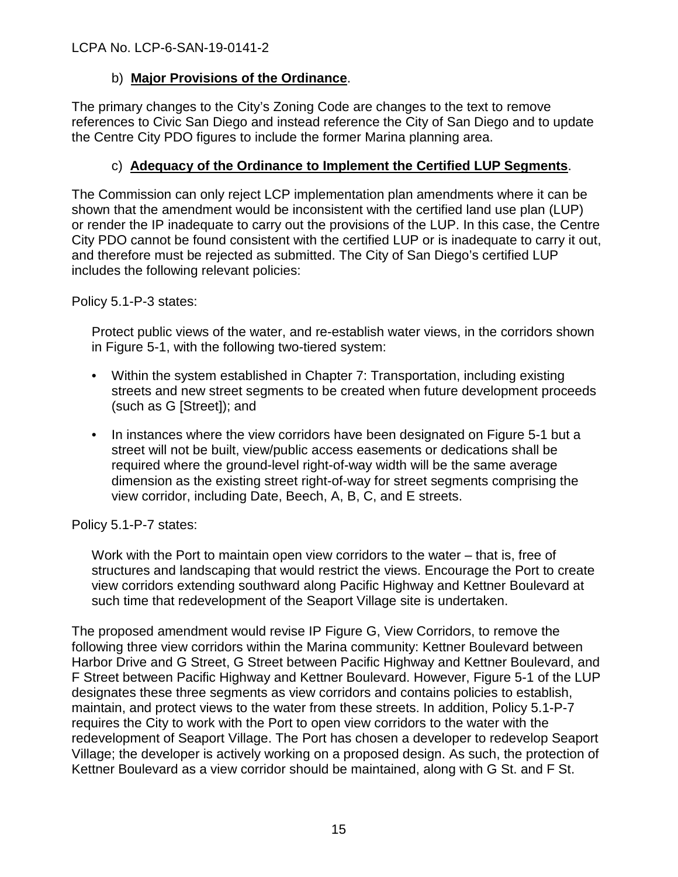## b) **Major Provisions of the Ordinance**.

The primary changes to the City's Zoning Code are changes to the text to remove references to Civic San Diego and instead reference the City of San Diego and to update the Centre City PDO figures to include the former Marina planning area.

## c) **Adequacy of the Ordinance to Implement the Certified LUP Segments**.

The Commission can only reject LCP implementation plan amendments where it can be shown that the amendment would be inconsistent with the certified land use plan (LUP) or render the IP inadequate to carry out the provisions of the LUP. In this case, the Centre City PDO cannot be found consistent with the certified LUP or is inadequate to carry it out, and therefore must be rejected as submitted. The City of San Diego's certified LUP includes the following relevant policies:

Policy 5.1-P-3 states:

Protect public views of the water, and re-establish water views, in the corridors shown in Figure 5-1, with the following two-tiered system:

- Within the system established in Chapter 7: Transportation, including existing streets and new street segments to be created when future development proceeds (such as G [Street]); and
- In instances where the view corridors have been designated on Figure 5-1 but a street will not be built, view/public access easements or dedications shall be required where the ground-level right-of-way width will be the same average dimension as the existing street right-of-way for street segments comprising the view corridor, including Date, Beech, A, B, C, and E streets.

Policy 5.1-P-7 states:

Work with the Port to maintain open view corridors to the water – that is, free of structures and landscaping that would restrict the views. Encourage the Port to create view corridors extending southward along Pacific Highway and Kettner Boulevard at such time that redevelopment of the Seaport Village site is undertaken.

The proposed amendment would revise IP Figure G, View Corridors, to remove the following three view corridors within the Marina community: Kettner Boulevard between Harbor Drive and G Street, G Street between Pacific Highway and Kettner Boulevard, and F Street between Pacific Highway and Kettner Boulevard. However, Figure 5-1 of the LUP designates these three segments as view corridors and contains policies to establish, maintain, and protect views to the water from these streets. In addition, Policy 5.1-P-7 requires the City to work with the Port to open view corridors to the water with the redevelopment of Seaport Village. The Port has chosen a developer to redevelop Seaport Village; the developer is actively working on a proposed design. As such, the protection of Kettner Boulevard as a view corridor should be maintained, along with G St. and F St.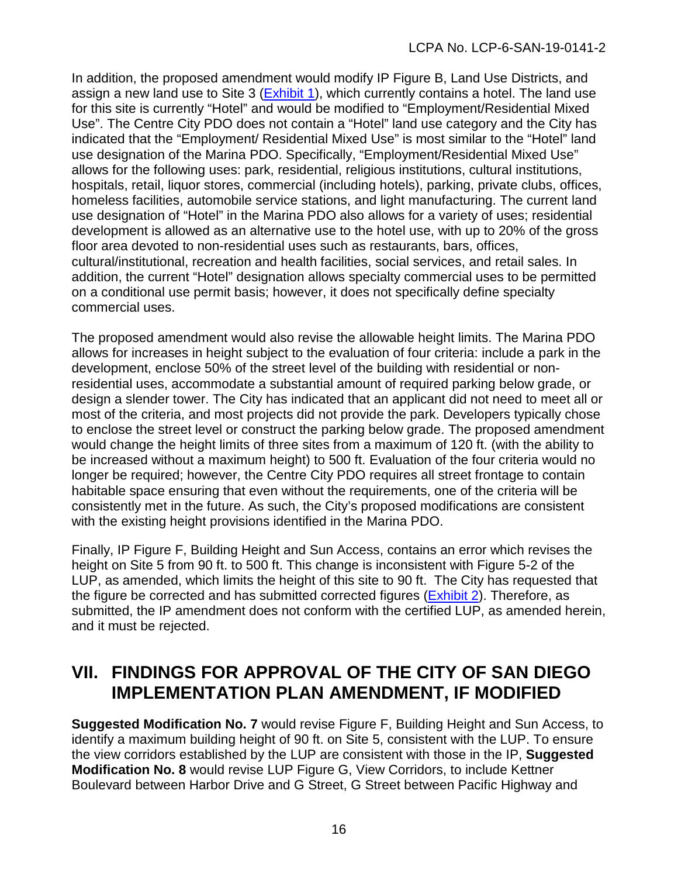In addition, the proposed amendment would modify IP Figure B, Land Use Districts, and assign a new land use to Site 3 [\(Exhibit 1\)](https://documents.coastal.ca.gov/reports/2020/3/Th16b/Th16b-3-2020-exhibits.pdf), which currently contains a hotel. The land use for this site is currently "Hotel" and would be modified to "Employment/Residential Mixed Use". The Centre City PDO does not contain a "Hotel" land use category and the City has indicated that the "Employment/ Residential Mixed Use" is most similar to the "Hotel" land use designation of the Marina PDO. Specifically, "Employment/Residential Mixed Use" allows for the following uses: park, residential, religious institutions, cultural institutions, hospitals, retail, liquor stores, commercial (including hotels), parking, private clubs, offices, homeless facilities, automobile service stations, and light manufacturing. The current land use designation of "Hotel" in the Marina PDO also allows for a variety of uses; residential development is allowed as an alternative use to the hotel use, with up to 20% of the gross floor area devoted to non-residential uses such as restaurants, bars, offices, cultural/institutional, recreation and health facilities, social services, and retail sales. In addition, the current "Hotel" designation allows specialty commercial uses to be permitted on a conditional use permit basis; however, it does not specifically define specialty commercial uses.

The proposed amendment would also revise the allowable height limits. The Marina PDO allows for increases in height subject to the evaluation of four criteria: include a park in the development, enclose 50% of the street level of the building with residential or nonresidential uses, accommodate a substantial amount of required parking below grade, or design a slender tower. The City has indicated that an applicant did not need to meet all or most of the criteria, and most projects did not provide the park. Developers typically chose to enclose the street level or construct the parking below grade. The proposed amendment would change the height limits of three sites from a maximum of 120 ft. (with the ability to be increased without a maximum height) to 500 ft. Evaluation of the four criteria would no longer be required; however, the Centre City PDO requires all street frontage to contain habitable space ensuring that even without the requirements, one of the criteria will be consistently met in the future. As such, the City's proposed modifications are consistent with the existing height provisions identified in the Marina PDO.

Finally, IP Figure F, Building Height and Sun Access, contains an error which revises the height on Site 5 from 90 ft. to 500 ft. This change is inconsistent with Figure 5-2 of the LUP, as amended, which limits the height of this site to 90 ft. The City has requested that the figure be corrected and has submitted corrected figures [\(Exhibit 2\)](https://documents.coastal.ca.gov/reports/2020/3/Th16b/Th16b-3-2020-exhibits.pdf). Therefore, as submitted, the IP amendment does not conform with the certified LUP, as amended herein, and it must be rejected.

## <span id="page-15-0"></span>**VII. FINDINGS FOR APPROVAL OF THE CITY OF SAN DIEGO IMPLEMENTATION PLAN AMENDMENT, IF MODIFIED**

**Suggested Modification No. 7** would revise Figure F, Building Height and Sun Access, to identify a maximum building height of 90 ft. on Site 5, consistent with the LUP. To ensure the view corridors established by the LUP are consistent with those in the IP, **Suggested Modification No. 8** would revise LUP Figure G, View Corridors, to include Kettner Boulevard between Harbor Drive and G Street, G Street between Pacific Highway and